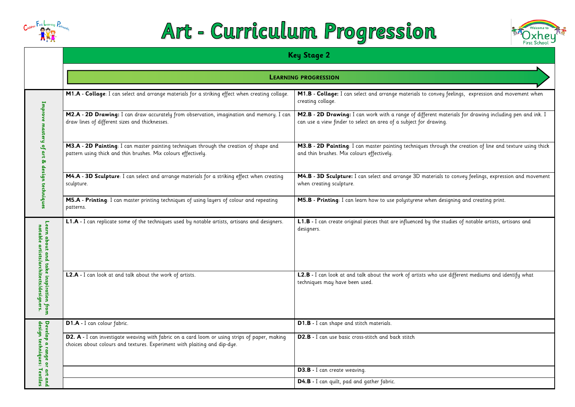

# Art - Curriculum Progression

**M2.B - 2D Drawing:** I can work with a range of different materials for drawing including pen and ink. I drawing.

 $\overline{\mathbf{a}}$  through the creation of line and texture using thick

aterials to convey feelings, expression and movement

when designing and creating print.

|                                                                                      | <b>Key Stage 2</b>                                                                                                                                                         |                                                                                                                   |  |  |
|--------------------------------------------------------------------------------------|----------------------------------------------------------------------------------------------------------------------------------------------------------------------------|-------------------------------------------------------------------------------------------------------------------|--|--|
|                                                                                      | <b>LEARNING PROGRESSION</b>                                                                                                                                                |                                                                                                                   |  |  |
|                                                                                      | M1.A - Collage: I can select and arrange materials for a striking effect when creating collage.                                                                            | M1.B - Collage: I can select and arrange materials to<br>creating collage.                                        |  |  |
| Improve mastery of art & design techniques                                           | M2.A - 2D Drawing: I can draw accurately from observation, imagination and memory. I can<br>draw lines of different sizes and thicknesses.                                 | M2.B - 2D Drawing: I can work with a range of diffe<br>can use a view finder to select an area of a subject for a |  |  |
|                                                                                      | M3.A - 2D Painting: I can master painting techniques through the creation of shape and<br>pattern using thick and thin brushes. Mix colours effectively.                   | M3.B - 2D Painting: I can master painting techniques<br>and thin brushes. Mix colours effectively.                |  |  |
|                                                                                      | M4.A - 3D Sculpture: I can select and arrange materials for a striking effect when creating<br>sculpture.                                                                  | M4.B - 3D Sculpture: I can select and arrange 3D mo<br>when creating sculpture.                                   |  |  |
|                                                                                      | M5.A - Printing: I can master printing techniques of using layers of colour and repeating<br>patterns.                                                                     | M5.B - Printing: I can learn how to use polystyrene w                                                             |  |  |
| Learn about and<br>notable artists/<br>ake inspiration from:<br>rchitects/designers. | L1.A - I can replicate some of the techniques used by notable artists, artisans and designers.                                                                             | <b>L1.B</b> - I can create original pieces that are influenced b<br>designers.                                    |  |  |
|                                                                                      | L2.A - I can look at and talk about the work of artists.                                                                                                                   | L2.B - I can look at and talk about the work of artists<br>techniques may have been used.                         |  |  |
| design techniques:<br>Develop a range or<br>Textiles<br>art and                      | D1.A - I can colour fabric.                                                                                                                                                | D1.B - I can shape and stitch materials.                                                                          |  |  |
|                                                                                      | D2. A - I can investigate weaving with fabric on a card loom or using strips of paper, making<br>choices about colours and textures. Experiment with plaiting and dip-dye. | D2.B - I can use basic cross-stitch and back stitch                                                               |  |  |
|                                                                                      |                                                                                                                                                                            | D3.B - I can create weaving.                                                                                      |  |  |
|                                                                                      |                                                                                                                                                                            | D4.B - I can quilt, pad and gather fabric.                                                                        |  |  |





convey feelings, expression and movement when

**L1.A -** I can replicate some of the techniques used by notable artists, artisans and designers. **L1.B -** I can create original pieces that are influenced by the studies of notable artists, artisans and

who use different mediums and identify what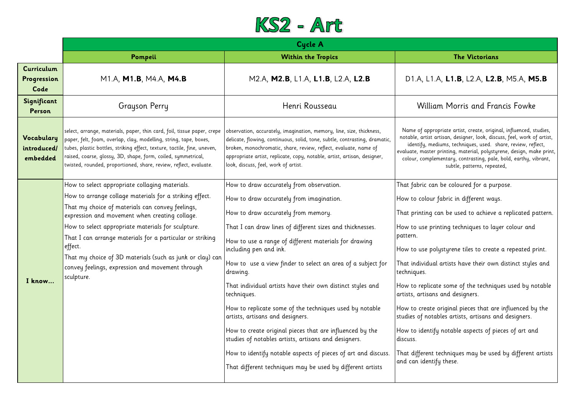### M1.A, **M1.B**, M4.A, **M4.B** M2.A, **M2.B**, L1.A, **L1.B**, L2.A, **L2.B** D1.A, L1.A, **L1.B**, L2.A, **L2.B**, M5.A, **M5.B**

## am Morris and Francis Fowke

ropriate artist, create, original, influenced, studies, artisan, designer, look, discuss, feel, work of artist, ediums, techniques, used. share, review, reflect, printing, material, polystyrene, design, make print, ementary, contrasting, pale, bold, earthy, vibrant, subtle, patterns, repeated,

- in be coloured for a purpose<mark>.</mark>
- r fabric in different ways.
- can be used to achieve a replicated pattern.
- rinting techniques to layer colour and
- olystyrene tiles to create a repeated print.
- al artists have their own distinct styles and
- ate some of the techniques used by notable ard designers.
- original pieces that are influenced by the ables artists, artisans and designers.
- fy notable aspects of pieces of art and
- techniques may be used by different artists  $\mathop{\text{if}}$ y these.



|                                       | <b>Cycle A</b>                                                                                                                                                                                                                                                                                                                                                                                                                                                               |                                                                                                                                                                                                                                                                                                                                                                                                                                                                                                                                                                                                                                                                                                                                                                                       |                                                                                                                                                                                                                                                                            |
|---------------------------------------|------------------------------------------------------------------------------------------------------------------------------------------------------------------------------------------------------------------------------------------------------------------------------------------------------------------------------------------------------------------------------------------------------------------------------------------------------------------------------|---------------------------------------------------------------------------------------------------------------------------------------------------------------------------------------------------------------------------------------------------------------------------------------------------------------------------------------------------------------------------------------------------------------------------------------------------------------------------------------------------------------------------------------------------------------------------------------------------------------------------------------------------------------------------------------------------------------------------------------------------------------------------------------|----------------------------------------------------------------------------------------------------------------------------------------------------------------------------------------------------------------------------------------------------------------------------|
|                                       | Pompeii                                                                                                                                                                                                                                                                                                                                                                                                                                                                      | <b>Within the Tropics</b>                                                                                                                                                                                                                                                                                                                                                                                                                                                                                                                                                                                                                                                                                                                                                             |                                                                                                                                                                                                                                                                            |
| Curriculum<br>Progression<br>Code     | M1.A, M1.B, M4.A, M4.B                                                                                                                                                                                                                                                                                                                                                                                                                                                       | M2.A, M2.B, L1.A, L1.B, L2.A, L2.B                                                                                                                                                                                                                                                                                                                                                                                                                                                                                                                                                                                                                                                                                                                                                    | D1.A, L1.                                                                                                                                                                                                                                                                  |
| Significant<br><b>Person</b>          | <b>Grayson Perry</b>                                                                                                                                                                                                                                                                                                                                                                                                                                                         | Henri Rousseau                                                                                                                                                                                                                                                                                                                                                                                                                                                                                                                                                                                                                                                                                                                                                                        | Willic                                                                                                                                                                                                                                                                     |
| Vocabulary<br>introduced/<br>embedded | select, arrange, materials, paper, thin card, foil, tissue paper, crepe<br>paper, felt, foam, overlap, clay, modelling, string, tape, boxes,<br>tubes, plastic bottles, striking effect, texture, tactile, fine, uneven,<br>raised, coarse, glossy, 3D, shape, form, coiled, symmetrical,<br>twisted, rounded, proportioned, share, review, reflect, evaluate.                                                                                                               | observation, accurately, imagination, memory, line, size, thickness,<br>delicate, flowing, continuous, solid, tone, subtle, contrasting, dramatic,<br>broken, monochromatic, share, review, reflect, evaluate, name of<br>appropriate artist, replicate, copy, notable, artist, artisan, designer,<br>look, discuss, feel, work of artist.                                                                                                                                                                                                                                                                                                                                                                                                                                            | Name of appr<br>notable, artist<br>identify, me<br>evaluate, master<br>colour, comple                                                                                                                                                                                      |
| I know                                | How to select appropriate collaging materials.<br>How to arrange collage materials for a striking effect.<br>That my choice of materials can convey feelings,<br>expression and movement when creating collage.<br>How to select appropriate materials for sculpture.<br>That I can arrange materials for a particular or striking<br>effect.<br>That my choice of 3D materials (such as junk or clay) can<br>convey feelings, expression and movement through<br>sculpture. | How to draw accurately from observation.<br>How to draw accurately from imagination.<br>How to draw accurately from memory.<br>That I can draw lines of different sizes and thicknesses.<br>How to use a range of different materials for drawing<br>including pen and ink.<br>How to use a view finder to select an area of a subject for<br>drawing.<br>That individual artists have their own distinct styles and<br>techniques.<br>How to replicate some of the techniques used by notable<br>artists, artisans and designers.<br>How to create original pieces that are influenced by the<br>studies of notables artists, artisans and designers.<br>How to identify notable aspects of pieces of art and discuss.<br>That different techniques may be used by different artists | That fabric ca<br>How to colour<br>That printing<br>How to use pr<br>pattern.<br>How to use po<br>That individuc<br>techniques.<br>How to replice<br>artists, artisan<br>How to create<br>studies of note<br>How to identi<br>discuss.<br>That different<br>and can identi |

#### **The Victorians**